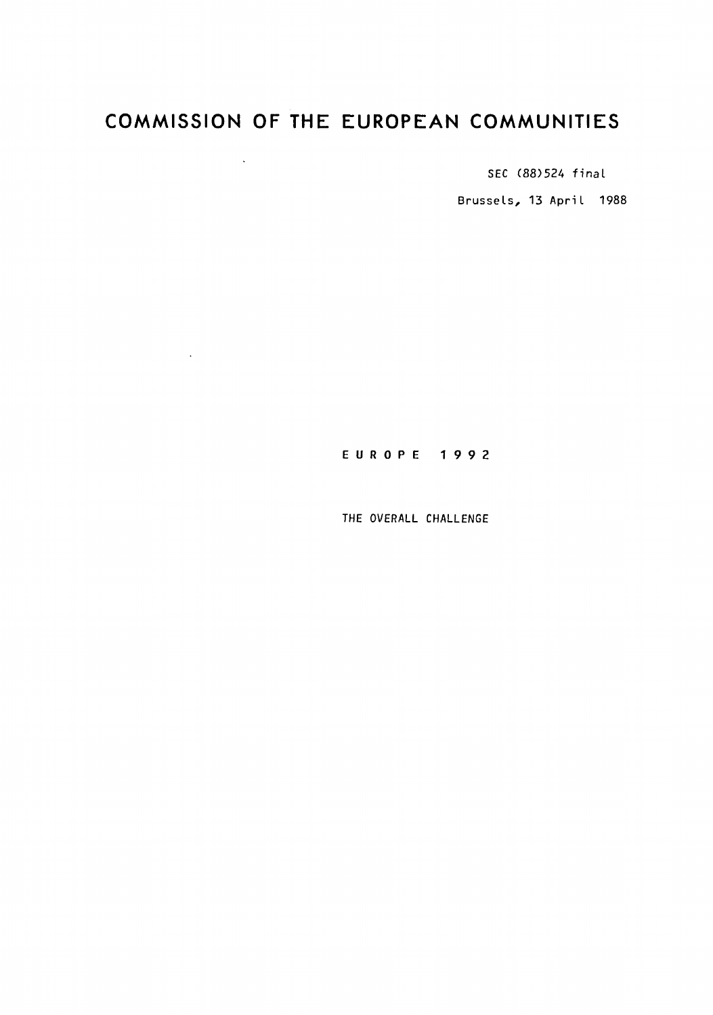# **COMMISSION OF THE EUROPEAN COMMUNITIES**

 $\mathcal{L}^{\text{max}}$  . The  $\mathcal{L}^{\text{max}}$ 

 $\sim 10^{-10}$ 

SEC (88)524 final

Brussels, 13 April 1988

## E U R 0 P E 1 9 9 2

THE OVERALL CHALLENGE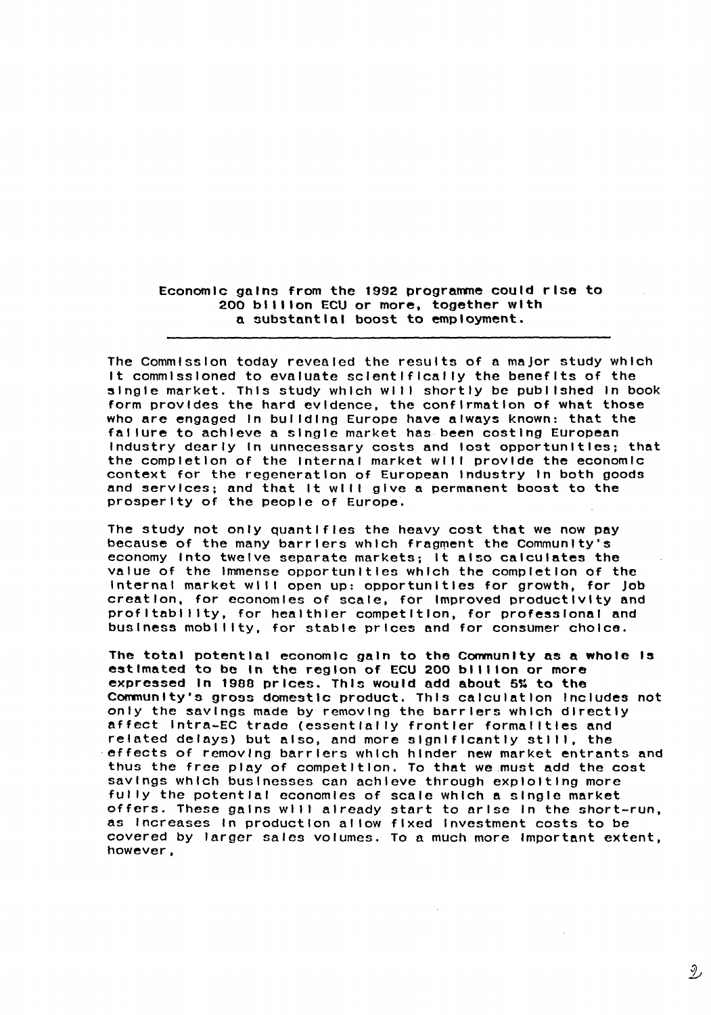Economic gains from the 1992 programme could rise to 200 billion ECU or more, together with a substantial boost to employment.

The Commission today revealed the results of a major study which It commissioned to evaluate sclentlflcal ly the benefits of the single market. This study which will shortly be published in book form provides the hard evidence, the confirmation of what those who are engaged In bul ldlng Europe have always known: that the failure to achieve a single market has been costing European Industry dearly In unnecessary costs and lost opportunities; that the completion of the Internal market will provide the economic context for the regeneration of European Industry In both goods and services; and that It will give a permanent boost to the prosperity of the people of Europe.

The study not only quantifies the heavy cost that we now pay because of the many barriers which fragment the Community's economy Into twelve separate markets; It also calculates the value of the Immense opportunities which the completion of the Internal market will open up: opportunities for growth, for Job creation, for economies of scale, for Improved productivity and profitability, for healthier competition, for professional and business mobility, for stable prices and for consumer choice.

The total potential economic gain to the Community as a whole Is estimated to be in the region of ECU 200 billion or more expressed In 1988 prices. This would add about 5% to the Community's gross domestic product. This calculation Includes not only the savings made by removing the barriers which directly affect lntra-EC trade (essentially frontier formal I ties and related delays) but also, and more significantly still, the effects of removing barriers which hinder new market entrants and thus the free play of competition. To that we.must add the cost savings which businesses can achieve through exploiting more fully the potential economies of scale which a single market offers. These gains will already start to arise in the short-run, as Increases In productional low fixed Investment costs to be covered by larger sales volumes. To a much more Important extent, however,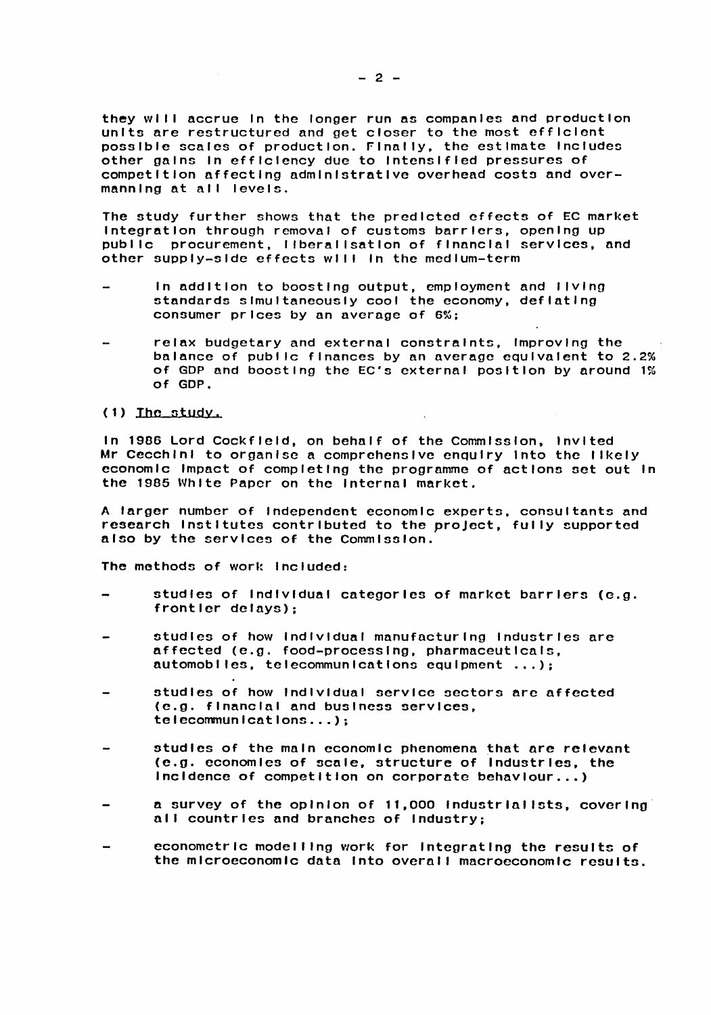they will accrue In the longer run as companies and production units are restructured and get closer to the most efficient possible scales of production. Finally, the estimate Includes other gains In efficiency due to Intensified pressures of competition affecting administrative overhead costs and overmanning at alI levels.

The study further shows that the predicted effects of EC market Integration through removal of customs barriers, opening up publ lc procurement, I lberal lsatlon of financial services, and other supply-side effects wl 11 In the medium-term

- In addition to boosting output, employment and I lvlng standards simultaneously cool the economy, deflating consumer prices by an average of 6%;
- relax budgetary and external constraints, Improving the balance of publ lc finances by an average equivalent to 2.2% of GOP and boosting the EC's external position by around 1% of GOP.

#### $(1)$  The study.

In 1986 Lord Cockfield, on behalf of the Commission, Invited Mr Cecchini to organise a comprehensive enquiry into the likely economic Impact of completing the programme of actions set out In the 1985 White Paper on the Internal market.

A larger number of Independent economic experts, consultants and research Institutes contributed to the proJect, fully supported also by the services of the Commission.

The methods of work Included:

- studies of Individual categories of market barriers (e.g. frontier delays);
- studies of how Individual manufacturing Industries are affected (e.g. food-processing, pharmaceuticals, automobl les, telecommunications equipment ... );
- studies of how individual service sectors are affected (e.g. financial and business services, telecommunications ... );
- studies of the main economic phenomena that are relevant (e.g. economics of scale, structure of Industries, the Incidence of competition on corporate behaviour ..• )
- a survey of the opinion of 11,000 Industrialists, covering all countries and branches of Industry;
- econometric modelling work for Integrating the results of the mlcrocconomlc data Into overall macroeconomic results.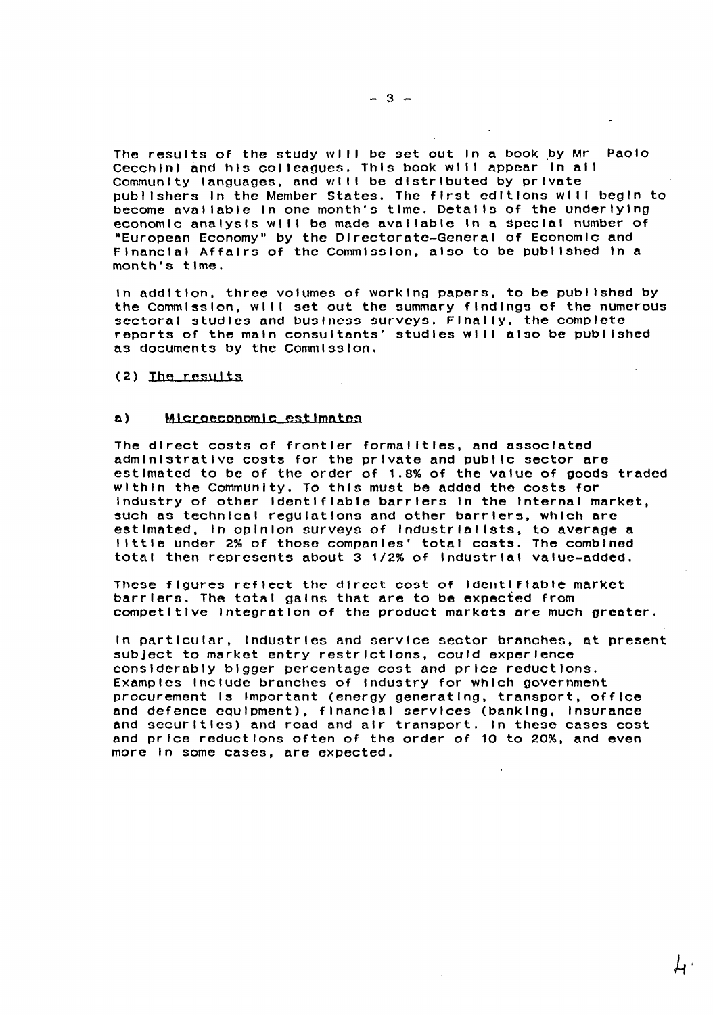The results of the study will be set out in a book by Mr Paolo Cecchini and his colleagues. This book will appear in all Community languages, and will be distributed by private publ lshers In the Member States. The first editions wl II begin to become aval table In one month's time. Details of the underlying economic analysis will be made available in a special number of "European Economy" by the Directorate-General of Economic and Financial Affairs of the Commission, also to be published In a month's time.

In addition, three volumes of working papers, to be pub! lshed by the commission, wl 11 set out the summary findings of the numerous sectoral studies and business surveys. Finally, the complete reports of the main consultants' studies will also be published as documents by the Commission.

(2) The results

#### n) Mlcroeconomlc estimates

The direct costs of frontier formal ltles, and associated administrative costs for the private and public sector are estimated to be of the order of 1.8% of the value of goods traded within the Community. To this must be added the costs for Industry of other Identifiable barriers In the Internal market, such as technical regulations and other barriers, which are estimated, In opinion surveys of Industrial lsts, to average a Ilttle under 2% of those companies' total costs. The combined total then represents about 3 1/2% of Industrial value-added.

These figures reflect the direct cost of Identifiable market barriers. The total gains that are to be expected from competitive Integration of the product mnrkots are much greater.

In particular, Industries and service sector branches, at present subject to market entry restrictions, could experience considerably bigger percentage cost and price reductions. Examples Include branches of Industry for which government procurement Is Important (energy generating, transport, office and defence equipment), financial services (banking, Insurance and securities) and road and air transport. In these cases cost and price reductions often of the order of 10 to 20%, and even more In some cases, are expected.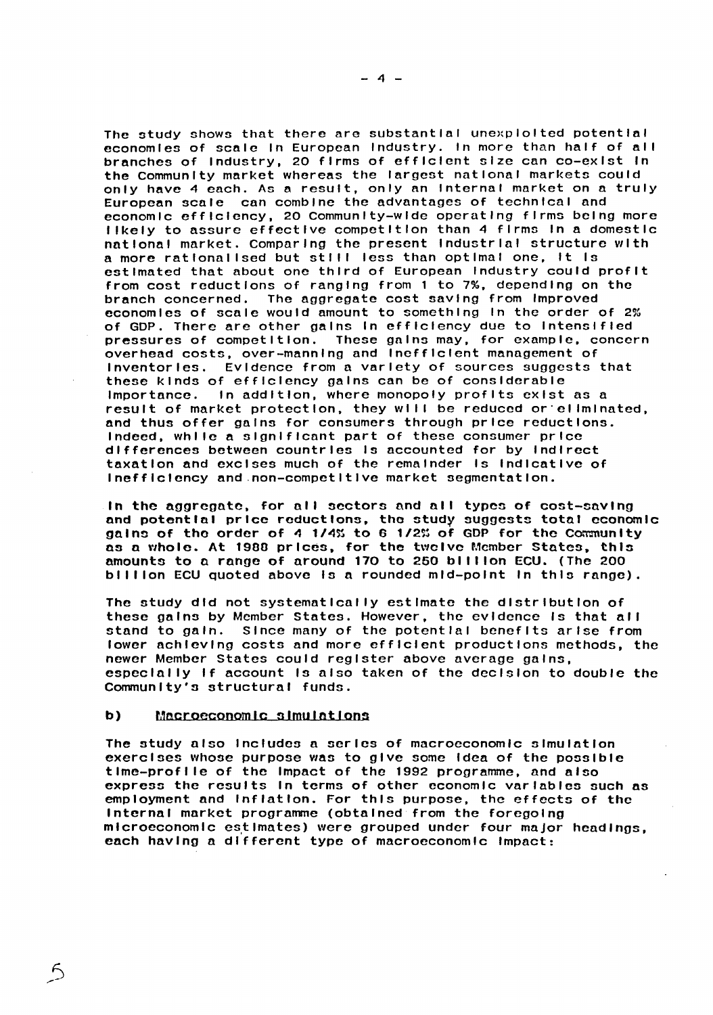The study shows that there are substantial unexploited potential economies of scale in European Industry. In more than half of all branches of Industry, 20 firms of efficient size can co-exist In the Community market whereas the largest national markets could only have 4 each. As a result, only an Internal market on a truly European scale can combine the advantages of technical and economic efficiency, 20 Community-wide operating firms being more 1 lkely to assure effective competition than 4 firms In a domestic national market. Comparing the present Industrial structure with a more rationalised but still less than optimal one, it is estimated that about *one* third of European Industry could profit from cost reductions of ranging from 1 to 7%, depending on the branch concerned. The aggregate cost saving from Improved economies of scale would amount to something In the order of 2% of GOP. There are other gains In efficiency due to Intensified pressures of competition. These gnlns may, for example, concern presearce of compositions these game may, is example, or Inventories. Evidence from a variety of sources suggests that these kinds of efficiency gains can be of considerable In addition, where monopoly profits exist as a result of market protection, they will be reduced or eliminated, and thus offer gains for consumers through price reductions. Indeed, while a significant part of these consumer price differences between countries Is accounted for by Indirect taxation and excises much of the remainder Is Indicative of Inefficiency and.non-competltlve market segmentation.

In the aggregate, for nil sectors nnd nil types of cost-saving and potential price reductions, the study suggests total economic gains of the order of 4 1/4% to 6 1/2% of GDP for the Community as a whole. At 1988 prices, for the twelve Member States, this amounts to a range of around 170 to 250 billion ECU. (The 200 billion ECU quoted above is a rounded mid-point in this range).

The study did not systematically estimate the distribution of these gains by Member States. However, the evidence Is that all stand to gain. Since many of the potential benefits arise from lower achieving costs and more efficient productions methods, the newer Member States could register above average gains, especially If account Is also taken of the decision to double the Community's structural funds.

#### b) Macroeconomic simulations

The study also Includes a series of macroeconomic simulation exercises whose purpose was to give some Idea of the possible tlme-profl le of the Impact of the 1992 programme, and also express the results In terms of other economic variables such as employment and Inflation. For this purpose, the effects of the Internal market programme (obtained from the foregoing microeconomic estimates) were grouped under four major headings, each having a different type of macroeconomic Impact: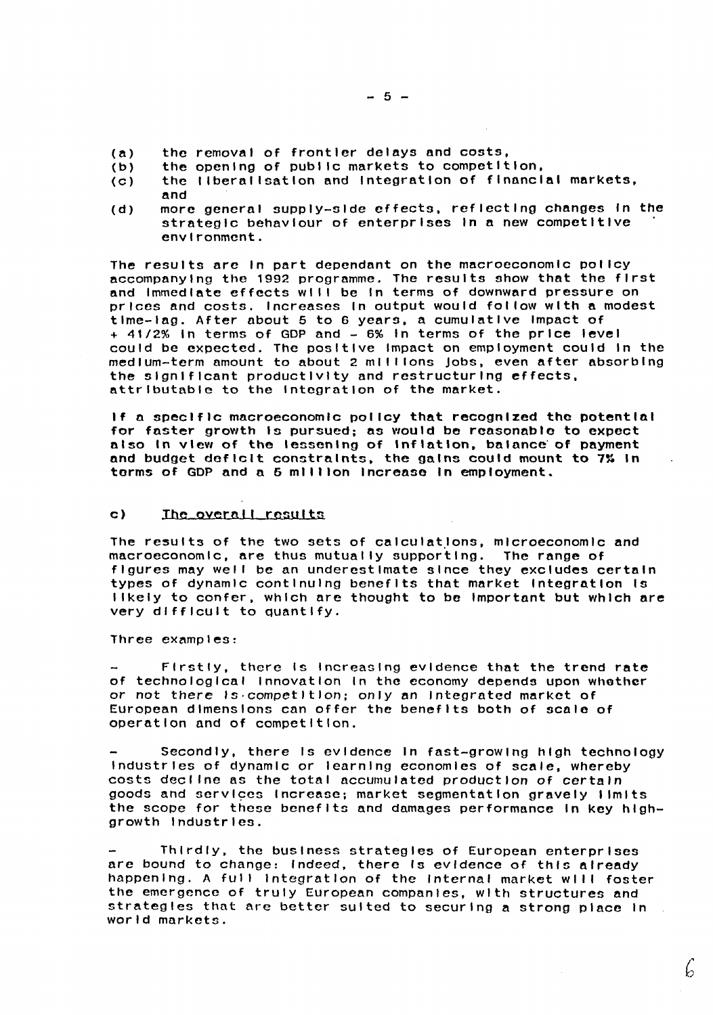- (a) the removal of frontier delays and costs,<br>(b) the opening of public markets to competit
- the opening of public markets to competition,
- (c) the 1 lberal lsatlon and Integration of financial markets,
- and
- (d) more general supply-side effects, reflecting changes In the strategic behaviour of enterprises In a new competitive environment.

The results are In part dependent on the macroeconomic pol Icy accompanying the 1992 programme. The results show that the first and Immediate effects will be in terms of downward pressure on prices and costs. Increases In output would follow with a modest time-lag. After about 5 to 6 years, a cumulative Impact of <sup>+</sup>41/2% In terms of GOP and - 6% In terms of the price level could be expected. The positive Impact on employment could In the medium-term amount to about 2 millions jobs, even after absorbing the significant productivity and restructuring effects, attributable to the Integration of the market.

If a specific macroeconomic policy that recognized tho potential for faster growth Is pursued; as would be reasonable to expect also In view of the lessening of inflation, balance of payment and budget deficit constraints, the gains could mount to 7% In terms of GOP and a 5 million Increase In employment.

#### c) Ihe overall results

The results of the two sets of calculations, microeconomic and macroeconomic, are thus mutually supporting. The range of figures may well be an underestimate since they excludes certain types of dynamic continuing benefits that market Integration Is I lkely to confer, which are thought to be Important but which are very difficult to quantify.

Three examples:

Firstly, there Is Increasing evidence that the trend rate of technological Innovation In the economy depends upon whothcr or not there ls·competltlon; only an Integrated market of European dimensions can offer the benefits both of scale of operation and of competition.

Secondly, there Is evidence In fast-growing high technology Industries of dynamic or learning economies of scale, whereby costs decl lne as the total accumulated production of certain goods and services Increase; market segmentation gravely limits the scope for these benefits and damages performance in key highgrowth Industries.

Thirdly, the business strategies of European enterprises are bound to change: Indeed, there Is evidence of this already happening. A full integration of the Internal market will foster the emergence of truly European companies, with structures and strategies that are better suited to securing a strong place In world markets.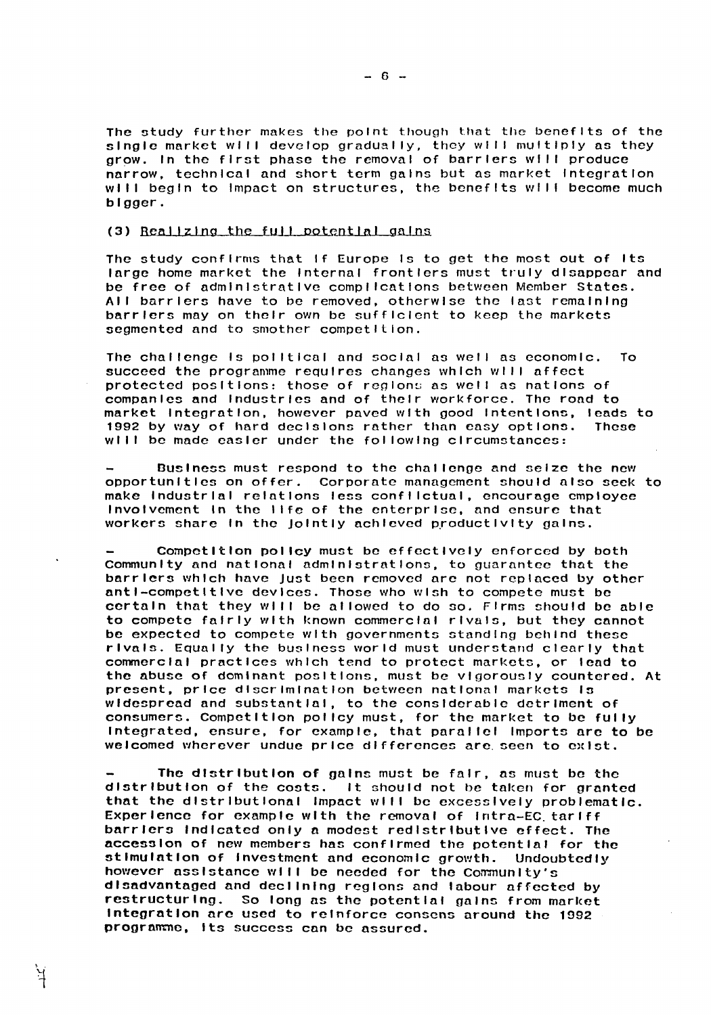The study further makes the point though that the benefits of the single market will develop gradually, they will multiply as they grow. In the first phase the removal of barriers will produce narrow, technical and short term gains but as market integration will begin to impact on structures, the benefits will become much bigger.

#### $(3)$  Realizing the full potential gains

The study confirms that If Europe Is to get the most out of Its large home market the Internal frontiers must truly disappear and be free of administrative complications between Member states. All barriers have to be removed, otherwise the last remaining barriers may on their own be sufficient to keep the markets segmented and to smother competition.

The challenge Is political and social as well as economic. To succeed the programme requires changes which will affect protected positions: those of regions as well as nations of companles and Industries and of their workforce. The road to market Integration, however paved with good Intentions, leads to<br>1992 by way of hard decisions rather than easy options. These 1992 by way of hard declsions rather than easy options. will be made easier under the following circumstances:

Business must respond to the challenge and seize the new opportunities on offer. Corporate management should nlso seek to make Industrial relations less confl lctunl, encourage employee Involvement In the I lfe of the enterprise. nnd ensure that workers share In the Jointly achieved productivity gains.

Competition policY must be effectively enforced by both Community and national administrations, to guarantee that the barriers which have just been removed nrc not replaced by other anti-competitive devices. Those who wish to compete must be certain that they will be allowed to do so. Firms should be able to compete fairly with known commercial rivals, but they cannot be expected to compete with governments standing behind these rivals. Equally the business world must understand clearly that commercial practices which tend to protect markets, or lend to the abuse of dominant positions, must be vigorously countered. At present, price discrimination between national markets Is widespread and substantial, to the considerable detriment of consumers. Competition policy must, for the market to be fully Integrated, ensure, for example, that parallel Imports are to be welcomed wherever undue price differences are. seen to culst.

The distribution of gnlns must be fair, ns must be the distribution of the costs. It should not be taken for granted that the distributional impact will be excessively problematic. Experience for example with the removal of intra-EC tariff barriers indicated only a modest redistributive effect. The accession of new members has confirmed the potential for the stimulation of Investment and economic growth. Undoubtedly however assistance will be needed for the Community's disadvantaged nnd declining regions and labour affected by restructuring. So long as the potential gains from market Integration nrc used to reinforce conscns around the 1992 programme, tts success can be assured.

 $- 6 -$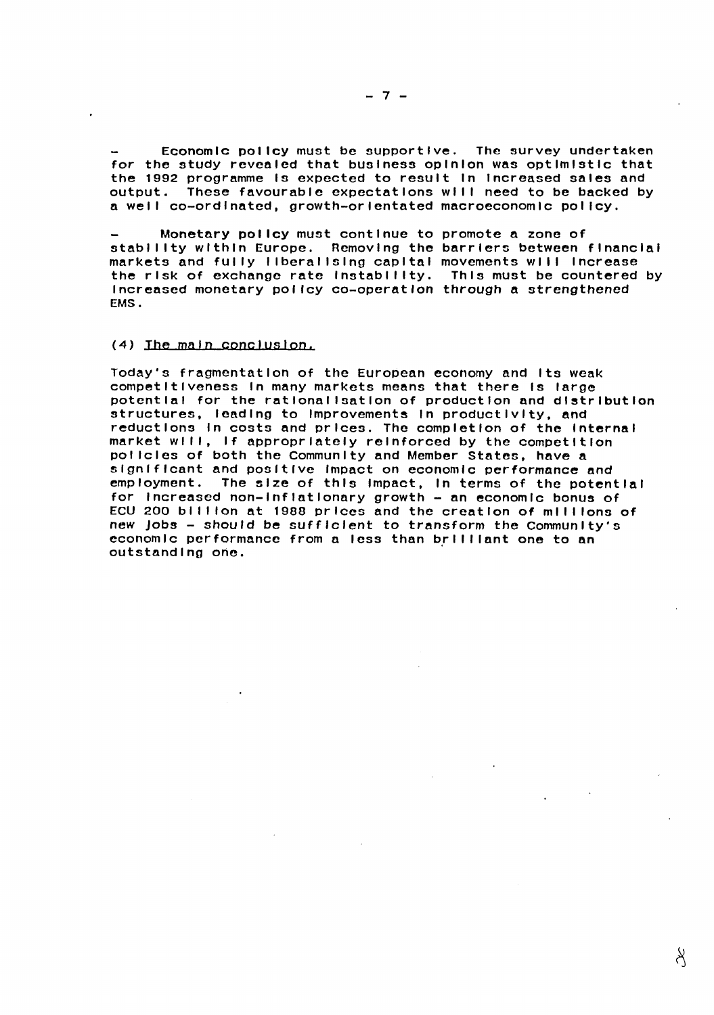Economic policy must be supportive. The survey undertaken for the study revealed that business opinion was optimistic that the 1992 programme Is expected to result In Increased sales and output. These favourable expectations will need to be backed by a weil co-ordinated, growth-orientated macroeconomic policy.

Monetary policy must continue to promote a zone of stablilty within Europe. Removing the barriers between financial markets and fully I lberal Ising capital movements wl I I Increase the risk of exchange rate lnstabl I lty. This must be countered by Increased monetary policy co-operation through a strengthened EMS.

#### (4) The main conclusion.

Today's fragmentation of the European economy and Its weak competitiveness In many markets means that there Is large potential for the rationalisation of production and distribution structures, leading to improvements in productivity, and reductions In costs and prices. The completion of the Internal market will, if appropriately reinforced by the competition pol lcles of both the Community and Member States, have a significant and positive Impact on economic performance and The size of this Impact, In terms of the potential for Increased non-Inflationary growth- an economic bonus of ECU 200 billion at 1988 prices and the creation of millions of new Jobs - should be sufficient to transform the Community's economic performance from a less than brilliant one to an outstanding one.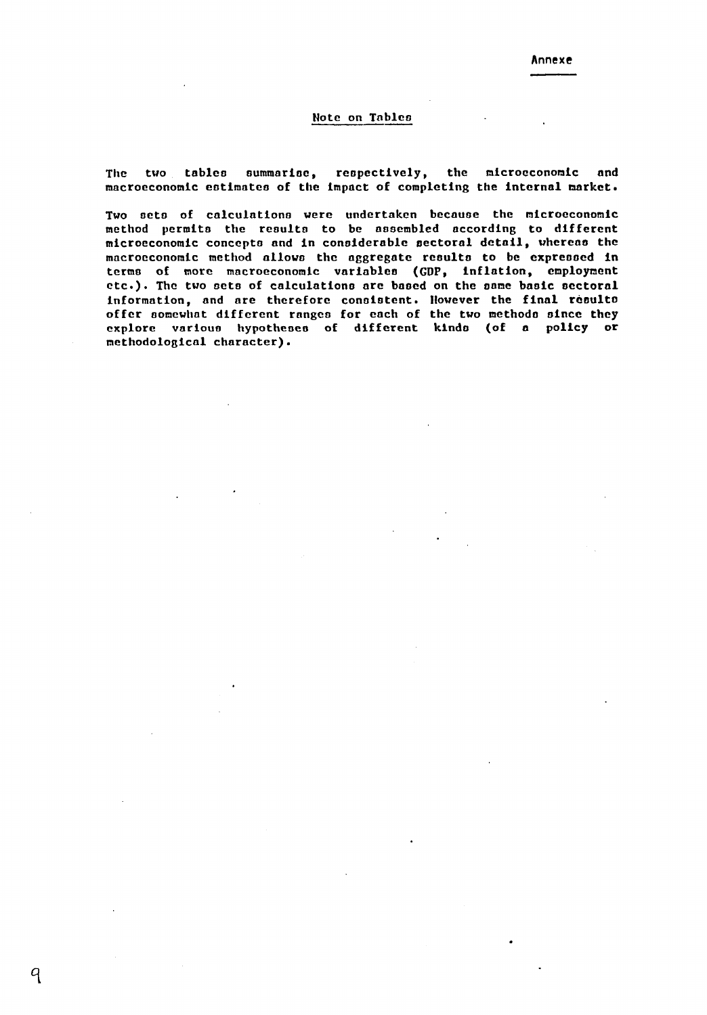#### Note on Tnblea

The two tables summarise, respectively, the microeconomic and macroeconomic estimateo of the impact of completing the internal market.

Two acta of calculations were undertaken because the microeconomic method permits the reoulto to be aaaembled according to different microeconomic concepts and in considerable sectoral detail, whereas the macroeconomic method ollowo the aggregate rcoulto to be expressed in termo of more macroeconomic voriableo (GOP, inflation, employment etc.). The two sets of calculations are based on the same basic sectoral information, and are therefore consistent. However the final resulto offer somewhat different ranges for each of the two methods since they explore various hypotheses of different kinds (of a policy or methodological character).

q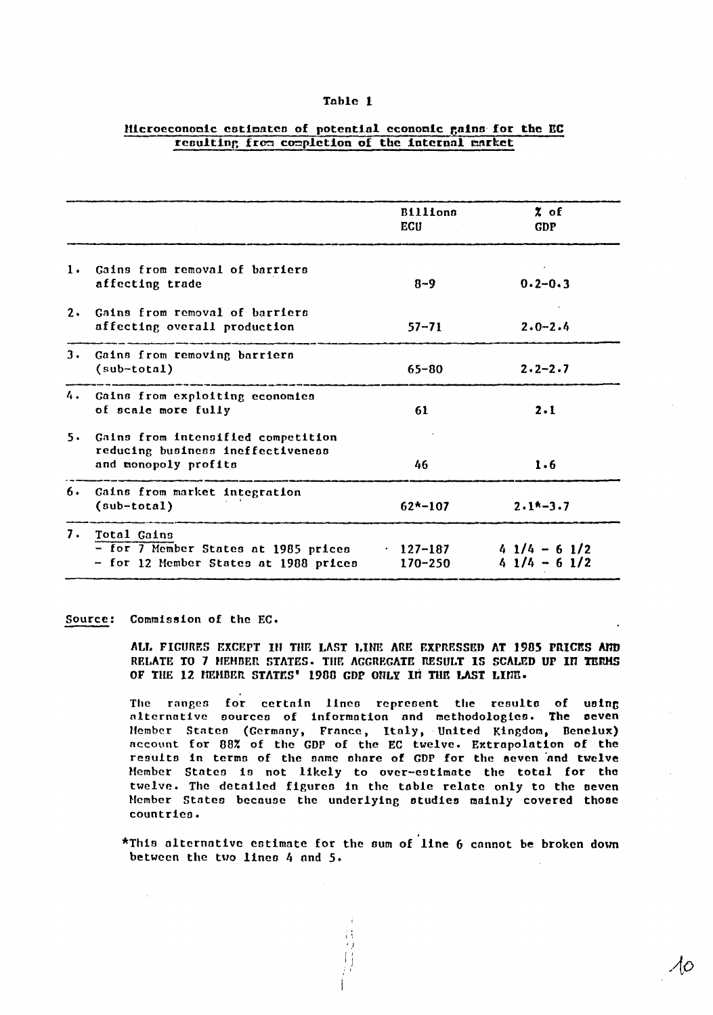#### Table 1

|    |                                                                                                 | <b>Billions</b><br>ECU         | % of<br><b>GDP</b>             |
|----|-------------------------------------------------------------------------------------------------|--------------------------------|--------------------------------|
| 1. | Gains from removal of barriers<br>affecting trade                                               | $8 - 9$                        | $0.2 - 0.3$                    |
| 2. | Gains from removal of barriers<br>affecting overall production                                  | $57 - 71$                      | $2.0 - 2.4$                    |
| з. | Gains from removing barriers<br>$(sub-total)$                                                   | $65 - 80$                      | $2.2 - 2.7$                    |
|    | 4. Gains from exploiting economies<br>of scale more fully                                       | 61                             | 2.1                            |
| 5. | Gains from intensified competition<br>reducing business ineffectiveness<br>and monopoly profits | 46                             | 1.6                            |
| 6. | Gains from market integration<br>$(sub-total)$                                                  | $62* - 107$                    | $2.1* - 3.7$                   |
| 7. | Total Gains<br>- for 7 Member States at 1985 prices<br>- for 12 Member States at 1988 prices    | $\cdot$ 127-187<br>$170 - 250$ | $41/4 - 61/2$<br>$41/4 - 61/2$ |

#### Hicroeconomic estimates of potential economic gains for the EC resulting from completion of the internal market

#### Commission of the EC. Source:

ALL FIGURES EXCEPT IN THE LAST LINE ARE EXPRESSED AT 1985 PRICES AND RELATE TO 7 HEHBER STATES. THE AGGREGATE RESULT IS SCALED UP IN TERMS OF THE 12 HEMBER STATES' 1988 GDP ONLY IN THE LAST LINE.

The ranges for certain lines represent the results of using alternative sources of information and methodologies. The seven Member States (Germany, France, Italy, United Kingdom, Benelux) account for 88% of the GDP of the EC twelve. Extrapolation of the results in terms of the same share of GDP for the seven and twelve Member States is not likely to over-estimate the total for the twelve. The detailed figures in the table relate only to the seven Member States because the underlying studies mainly covered those countries.

\*This alternative estimate for the sum of line 6 cannot be broken down between the two lines 4 and 5.

10